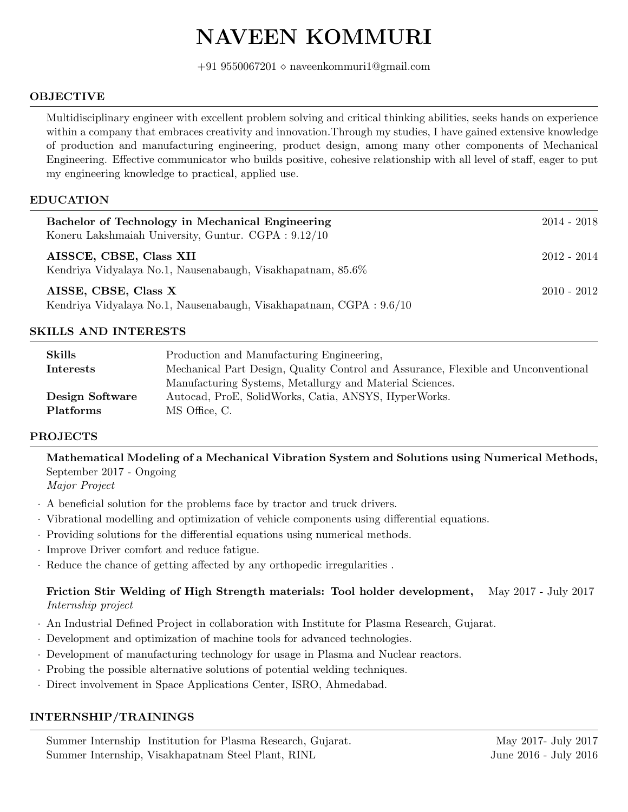# NAVEEN KOMMURI

+91 9550067201 $\diamond$ naveenkommuri1@gmail.com

#### OBJECTIVE

Multidisciplinary engineer with excellent problem solving and critical thinking abilities, seeks hands on experience within a company that embraces creativity and innovation.Through my studies, I have gained extensive knowledge of production and manufacturing engineering, product design, among many other components of Mechanical Engineering. Effective communicator who builds positive, cohesive relationship with all level of staff, eager to put my engineering knowledge to practical, applied use.

#### EDUCATION

| Bachelor of Technology in Mechanical Engineering<br>Koneru Lakshmaiah University, Guntur. CGPA: $9.12/10$ | $2014 - 2018$ |
|-----------------------------------------------------------------------------------------------------------|---------------|
| AISSCE, CBSE, Class XII<br>Kendriya Vidyalaya No.1, Nausenabaugh, Visakhapatnam, 85.6%                    | 2012 - 2014   |
| AISSE, CBSE, Class X<br>Kendriya Vidyalaya No.1, Nausenabaugh, Visakhapatnam, CGPA: $9.6/10$              | $2010 - 2012$ |

#### SKILLS AND INTERESTS

| <b>Skills</b>    | Production and Manufacturing Engineering,                                          |
|------------------|------------------------------------------------------------------------------------|
| Interests        | Mechanical Part Design, Quality Control and Assurance, Flexible and Unconventional |
|                  | Manufacturing Systems, Metallurgy and Material Sciences.                           |
| Design Software  | Autocad, ProE, SolidWorks, Catia, ANSYS, HyperWorks.                               |
| <b>Platforms</b> | MS Office, C.                                                                      |

#### PROJECTS

Mathematical Modeling of a Mechanical Vibration System and Solutions using Numerical Methods, September 2017 - Ongoing

Major Project

- · A beneficial solution for the problems face by tractor and truck drivers.
- · Vibrational modelling and optimization of vehicle components using differential equations.
- · Providing solutions for the differential equations using numerical methods.
- · Improve Driver comfort and reduce fatigue.
- · Reduce the chance of getting affected by any orthopedic irregularities .

## Friction Stir Welding of High Strength materials: Tool holder development, May 2017 - July 2017 Internship project

- · An Industrial Defined Project in collaboration with Institute for Plasma Research, Gujarat.
- · Development and optimization of machine tools for advanced technologies.
- · Development of manufacturing technology for usage in Plasma and Nuclear reactors.
- · Probing the possible alternative solutions of potential welding techniques.
- · Direct involvement in Space Applications Center, ISRO, Ahmedabad.

## INTERNSHIP/TRAININGS

Summer Internship Institution for Plasma Research, Gujarat. May 2017- July 2017-Summer Internship, Visakhapatnam Steel Plant, RINL June 2016 - July 2016